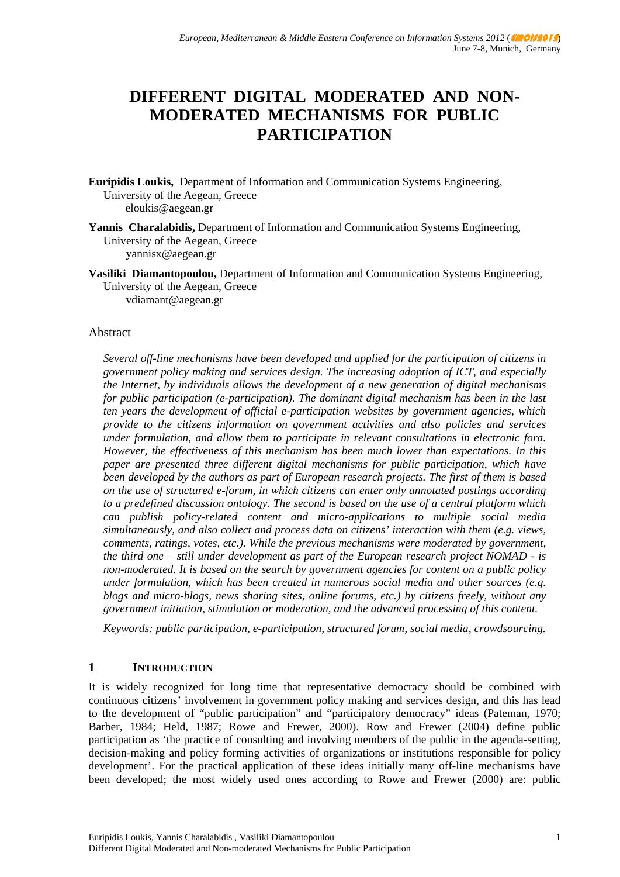# **DIFFERENT DIGITAL MODERATED AND NON-MODERATED MECHANISMS FOR PUBLIC PARTICIPATION**

**Euripidis Loukis,** Department of Information and Communication Systems Engineering, University of the Aegean, Greece eloukis@aegean.gr

- **Yannis Charalabidis,** Department of Information and Communication Systems Engineering, University of the Aegean, Greece yannisx@aegean.gr
- **Vasiliki Diamantopoulou,** Department of Information and Communication Systems Engineering, University of the Aegean, Greece vdiamant@aegean.gr

#### Abstract

*Several off-line mechanisms have been developed and applied for the participation of citizens in government policy making and services design. The increasing adoption of ICT, and especially the Internet, by individuals allows the development of a new generation of digital mechanisms for public participation (e-participation). The dominant digital mechanism has been in the last ten years the development of official e-participation websites by government agencies, which provide to the citizens information on government activities and also policies and services under formulation, and allow them to participate in relevant consultations in electronic fora. However, the effectiveness of this mechanism has been much lower than expectations. In this paper are presented three different digital mechanisms for public participation, which have been developed by the authors as part of European research projects. The first of them is based on the use of structured e-forum, in which citizens can enter only annotated postings according to a predefined discussion ontology. The second is based on the use of a central platform which can publish policy-related content and micro-applications to multiple social media simultaneously, and also collect and process data on citizens' interaction with them (e.g. views, comments, ratings, votes, etc.). While the previous mechanisms were moderated by government, the third one – still under development as part of the European research project NOMAD - is non-moderated. It is based on the search by government agencies for content on a public policy under formulation, which has been created in numerous social media and other sources (e.g. blogs and micro-blogs, news sharing sites, online forums, etc.) by citizens freely, without any government initiation, stimulation or moderation, and the advanced processing of this content.* 

*Keywords: public participation, e-participation, structured forum, social media, crowdsourcing.* 

#### **1 INTRODUCTION**

It is widely recognized for long time that representative democracy should be combined with continuous citizens' involvement in government policy making and services design, and this has lead to the development of "public participation" and "participatory democracy" ideas (Pateman, 1970; Barber, 1984; Held, 1987; Rowe and Frewer, 2000). Row and Frewer (2004) define public participation as 'the practice of consulting and involving members of the public in the agenda-setting, decision-making and policy forming activities of organizations or institutions responsible for policy development'. For the practical application of these ideas initially many off-line mechanisms have been developed; the most widely used ones according to Rowe and Frewer (2000) are: public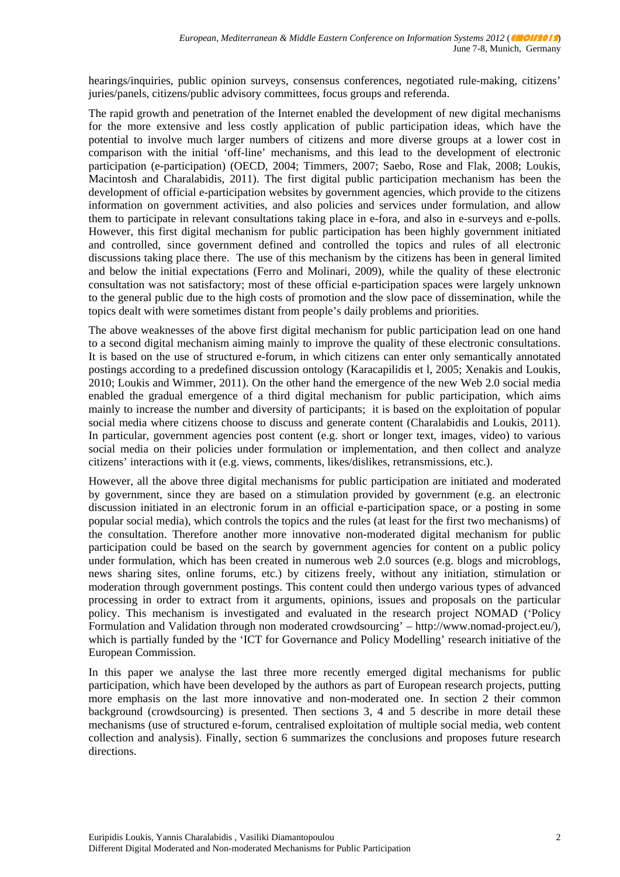hearings/inquiries, public opinion surveys, consensus conferences, negotiated rule-making, citizens' juries/panels, citizens/public advisory committees, focus groups and referenda.

The rapid growth and penetration of the Internet enabled the development of new digital mechanisms for the more extensive and less costly application of public participation ideas, which have the potential to involve much larger numbers of citizens and more diverse groups at a lower cost in comparison with the initial 'off-line' mechanisms, and this lead to the development of electronic participation (e-participation) (OECD, 2004; Timmers, 2007; Saebo, Rose and Flak, 2008; Loukis, Macintosh and Charalabidis, 2011). The first digital public participation mechanism has been the development of official e-participation websites by government agencies, which provide to the citizens information on government activities, and also policies and services under formulation, and allow them to participate in relevant consultations taking place in e-fora, and also in e-surveys and e-polls. However, this first digital mechanism for public participation has been highly government initiated and controlled, since government defined and controlled the topics and rules of all electronic discussions taking place there. The use of this mechanism by the citizens has been in general limited and below the initial expectations (Ferro and Molinari, 2009), while the quality of these electronic consultation was not satisfactory; most of these official e-participation spaces were largely unknown to the general public due to the high costs of promotion and the slow pace of dissemination, while the topics dealt with were sometimes distant from people's daily problems and priorities.

The above weaknesses of the above first digital mechanism for public participation lead on one hand to a second digital mechanism aiming mainly to improve the quality of these electronic consultations. It is based on the use of structured e-forum, in which citizens can enter only semantically annotated postings according to a predefined discussion ontology (Karacapilidis et l, 2005; Xenakis and Loukis, 2010; Loukis and Wimmer, 2011). On the other hand the emergence of the new Web 2.0 social media enabled the gradual emergence of a third digital mechanism for public participation, which aims mainly to increase the number and diversity of participants; it is based on the exploitation of popular social media where citizens choose to discuss and generate content (Charalabidis and Loukis, 2011). In particular, government agencies post content (e.g. short or longer text, images, video) to various social media on their policies under formulation or implementation, and then collect and analyze citizens' interactions with it (e.g. views, comments, likes/dislikes, retransmissions, etc.).

However, all the above three digital mechanisms for public participation are initiated and moderated by government, since they are based on a stimulation provided by government (e.g. an electronic discussion initiated in an electronic forum in an official e-participation space, or a posting in some popular social media), which controls the topics and the rules (at least for the first two mechanisms) of the consultation. Therefore another more innovative non-moderated digital mechanism for public participation could be based on the search by government agencies for content on a public policy under formulation, which has been created in numerous web 2.0 sources (e.g. blogs and microblogs, news sharing sites, online forums, etc.) by citizens freely, without any initiation, stimulation or moderation through government postings. This content could then undergo various types of advanced processing in order to extract from it arguments, opinions, issues and proposals on the particular policy. This mechanism is investigated and evaluated in the research project NOMAD ('Policy Formulation and Validation through non moderated crowdsourcing' – http://www.nomad-project.eu/), which is partially funded by the 'ICT for Governance and Policy Modelling' research initiative of the European Commission.

In this paper we analyse the last three more recently emerged digital mechanisms for public participation, which have been developed by the authors as part of European research projects, putting more emphasis on the last more innovative and non-moderated one. In section 2 their common background (crowdsourcing) is presented. Then sections 3, 4 and 5 describe in more detail these mechanisms (use of structured e-forum, centralised exploitation of multiple social media, web content collection and analysis). Finally, section 6 summarizes the conclusions and proposes future research directions.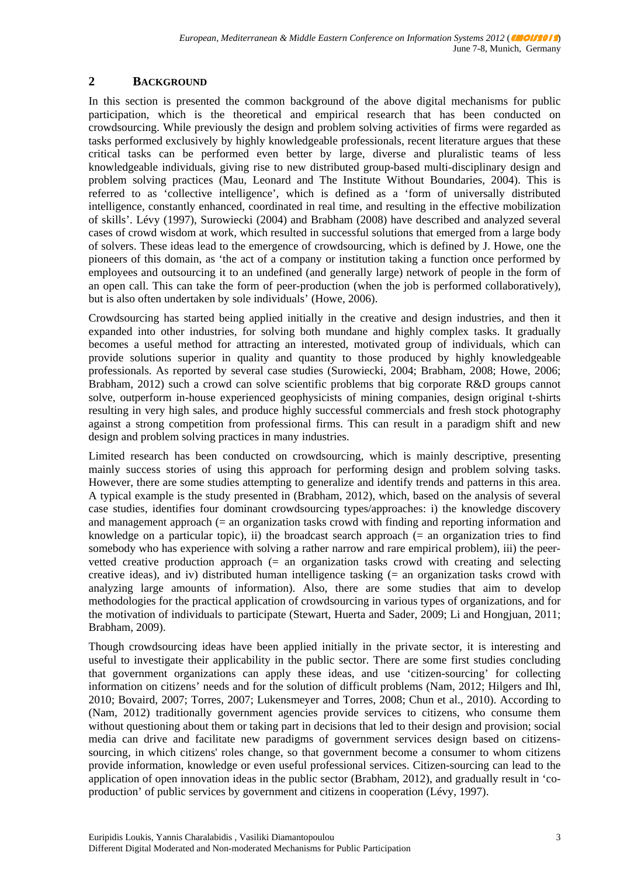## **2 BACKGROUND**

In this section is presented the common background of the above digital mechanisms for public participation, which is the theoretical and empirical research that has been conducted on crowdsourcing. While previously the design and problem solving activities of firms were regarded as tasks performed exclusively by highly knowledgeable professionals, recent literature argues that these critical tasks can be performed even better by large, diverse and pluralistic teams of less knowledgeable individuals, giving rise to new distributed group-based multi-disciplinary design and problem solving practices (Mau, Leonard and The Institute Without Boundaries, 2004). This is referred to as 'collective intelligence', which is defined as a 'form of universally distributed intelligence, constantly enhanced, coordinated in real time, and resulting in the effective mobilization of skills'. Lévy (1997), Surowiecki (2004) and Brabham (2008) have described and analyzed several cases of crowd wisdom at work, which resulted in successful solutions that emerged from a large body of solvers. These ideas lead to the emergence of crowdsourcing, which is defined by J. Howe, one the pioneers of this domain, as 'the act of a company or institution taking a function once performed by employees and outsourcing it to an undefined (and generally large) network of people in the form of an open call. This can take the form of peer-production (when the job is performed collaboratively), but is also often undertaken by sole individuals' (Howe, 2006).

Crowdsourcing has started being applied initially in the creative and design industries, and then it expanded into other industries, for solving both mundane and highly complex tasks. It gradually becomes a useful method for attracting an interested, motivated group of individuals, which can provide solutions superior in quality and quantity to those produced by highly knowledgeable professionals. As reported by several case studies (Surowiecki, 2004; Brabham, 2008; Howe, 2006; Brabham, 2012) such a crowd can solve scientific problems that big corporate R&D groups cannot solve, outperform in-house experienced geophysicists of mining companies, design original t-shirts resulting in very high sales, and produce highly successful commercials and fresh stock photography against a strong competition from professional firms. This can result in a paradigm shift and new design and problem solving practices in many industries.

Limited research has been conducted on crowdsourcing, which is mainly descriptive, presenting mainly success stories of using this approach for performing design and problem solving tasks. However, there are some studies attempting to generalize and identify trends and patterns in this area. A typical example is the study presented in (Brabham, 2012), which, based on the analysis of several case studies, identifies four dominant crowdsourcing types/approaches: i) the knowledge discovery and management approach (= an organization tasks crowd with finding and reporting information and knowledge on a particular topic), ii) the broadcast search approach  $(=$  an organization tries to find somebody who has experience with solving a rather narrow and rare empirical problem), iii) the peervetted creative production approach (= an organization tasks crowd with creating and selecting creative ideas), and iv) distributed human intelligence tasking (= an organization tasks crowd with analyzing large amounts of information). Also, there are some studies that aim to develop methodologies for the practical application of crowdsourcing in various types of organizations, and for the motivation of individuals to participate (Stewart, Huerta and Sader, 2009; Li and Hongjuan, 2011; Brabham, 2009).

Though crowdsourcing ideas have been applied initially in the private sector, it is interesting and useful to investigate their applicability in the public sector. There are some first studies concluding that government organizations can apply these ideas, and use 'citizen-sourcing' for collecting information on citizens' needs and for the solution of difficult problems (Nam, 2012; Hilgers and Ihl, 2010; Bovaird, 2007; Torres, 2007; Lukensmeyer and Torres, 2008; Chun et al., 2010). According to (Nam, 2012) traditionally government agencies provide services to citizens, who consume them without questioning about them or taking part in decisions that led to their design and provision; social media can drive and facilitate new paradigms of government services design based on citizenssourcing, in which citizens' roles change, so that government become a consumer to whom citizens provide information, knowledge or even useful professional services. Citizen-sourcing can lead to the application of open innovation ideas in the public sector (Brabham, 2012), and gradually result in 'coproduction' of public services by government and citizens in cooperation (Lévy, 1997).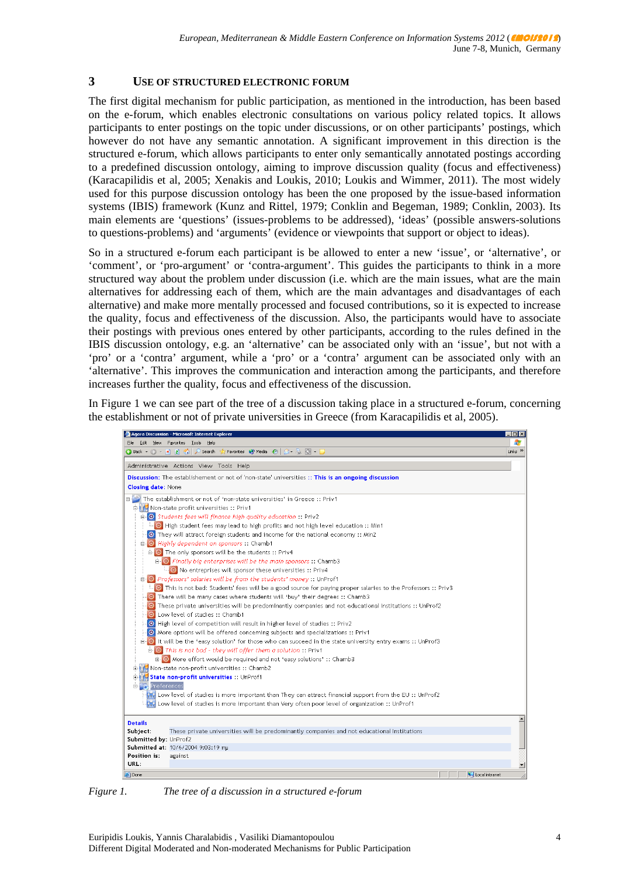## **3 USE OF STRUCTURED ELECTRONIC FORUM**

The first digital mechanism for public participation, as mentioned in the introduction, has been based on the e-forum, which enables electronic consultations on various policy related topics. It allows participants to enter postings on the topic under discussions, or on other participants' postings, which however do not have any semantic annotation. A significant improvement in this direction is the structured e-forum, which allows participants to enter only semantically annotated postings according to a predefined discussion ontology, aiming to improve discussion quality (focus and effectiveness) (Karacapilidis et al, 2005; Xenakis and Loukis, 2010; Loukis and Wimmer, 2011). The most widely used for this purpose discussion ontology has been the one proposed by the issue-based information systems (IBIS) framework (Kunz and Rittel, 1979; Conklin and Begeman, 1989; Conklin, 2003). Its main elements are 'questions' (issues-problems to be addressed), 'ideas' (possible answers-solutions to questions-problems) and 'arguments' (evidence or viewpoints that support or object to ideas).

So in a structured e-forum each participant is be allowed to enter a new 'issue', or 'alternative', or 'comment', or 'pro-argument' or 'contra-argument'. This guides the participants to think in a more structured way about the problem under discussion (i.e. which are the main issues, what are the main alternatives for addressing each of them, which are the main advantages and disadvantages of each alternative) and make more mentally processed and focused contributions, so it is expected to increase the quality, focus and effectiveness of the discussion. Also, the participants would have to associate their postings with previous ones entered by other participants, according to the rules defined in the IBIS discussion ontology, e.g. an 'alternative' can be associated only with an 'issue', but not with a 'pro' or a 'contra' argument, while a 'pro' or a 'contra' argument can be associated only with an 'alternative'. This improves the communication and interaction among the participants, and therefore increases further the quality, focus and effectiveness of the discussion.

In Figure 1 we can see part of the tree of a discussion taking place in a structured e-forum, concerning the establishment or not of private universities in Greece (from Karacapilidis et al, 2005).



*Figure 1. The tree of a discussion in a structured e-forum*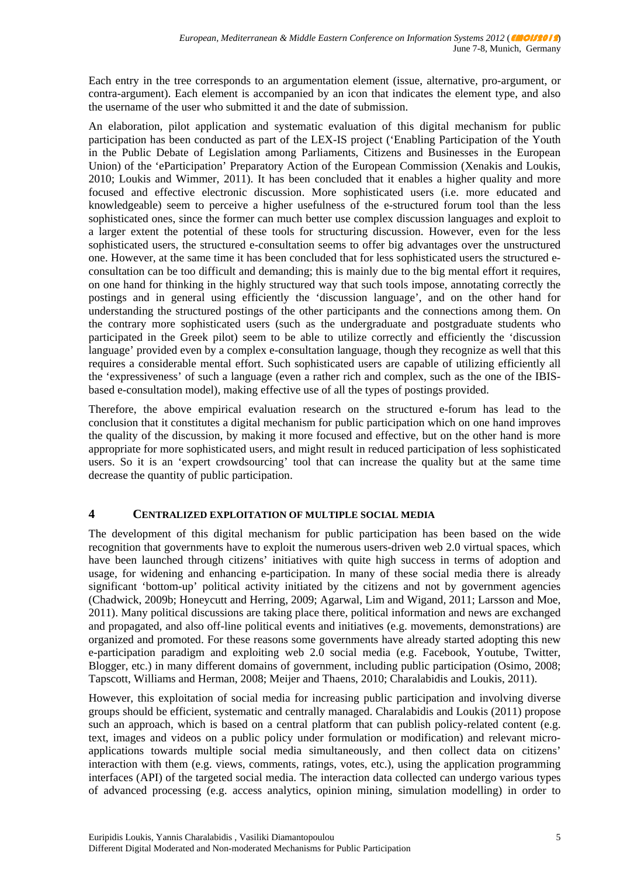Each entry in the tree corresponds to an argumentation element (issue, alternative, pro-argument, or contra-argument). Each element is accompanied by an icon that indicates the element type, and also the username of the user who submitted it and the date of submission.

An elaboration, pilot application and systematic evaluation of this digital mechanism for public participation has been conducted as part of the LEX-IS project ('Enabling Participation of the Youth in the Public Debate of Legislation among Parliaments, Citizens and Businesses in the European Union) of the 'eParticipation' Preparatory Action of the European Commission (Xenakis and Loukis, 2010; Loukis and Wimmer, 2011). It has been concluded that it enables a higher quality and more focused and effective electronic discussion. More sophisticated users (i.e. more educated and knowledgeable) seem to perceive a higher usefulness of the e-structured forum tool than the less sophisticated ones, since the former can much better use complex discussion languages and exploit to a larger extent the potential of these tools for structuring discussion. However, even for the less sophisticated users, the structured e-consultation seems to offer big advantages over the unstructured one. However, at the same time it has been concluded that for less sophisticated users the structured econsultation can be too difficult and demanding; this is mainly due to the big mental effort it requires, on one hand for thinking in the highly structured way that such tools impose, annotating correctly the postings and in general using efficiently the 'discussion language', and on the other hand for understanding the structured postings of the other participants and the connections among them. On the contrary more sophisticated users (such as the undergraduate and postgraduate students who participated in the Greek pilot) seem to be able to utilize correctly and efficiently the 'discussion language' provided even by a complex e-consultation language, though they recognize as well that this requires a considerable mental effort. Such sophisticated users are capable of utilizing efficiently all the 'expressiveness' of such a language (even a rather rich and complex, such as the one of the IBISbased e-consultation model), making effective use of all the types of postings provided.

Therefore, the above empirical evaluation research on the structured e-forum has lead to the conclusion that it constitutes a digital mechanism for public participation which on one hand improves the quality of the discussion, by making it more focused and effective, but on the other hand is more appropriate for more sophisticated users, and might result in reduced participation of less sophisticated users. So it is an 'expert crowdsourcing' tool that can increase the quality but at the same time decrease the quantity of public participation.

## **4 CENTRALIZED EXPLOITATION OF MULTIPLE SOCIAL MEDIA**

The development of this digital mechanism for public participation has been based on the wide recognition that governments have to exploit the numerous users-driven web 2.0 virtual spaces, which have been launched through citizens' initiatives with quite high success in terms of adoption and usage, for widening and enhancing e-participation. In many of these social media there is already significant 'bottom-up' political activity initiated by the citizens and not by government agencies (Chadwick, 2009b; Honeycutt and Herring, 2009; Agarwal, Lim and Wigand, 2011; Larsson and Moe, 2011). Many political discussions are taking place there, political information and news are exchanged and propagated, and also off-line political events and initiatives (e.g. movements, demonstrations) are organized and promoted. For these reasons some governments have already started adopting this new e-participation paradigm and exploiting web 2.0 social media (e.g. Facebook, Youtube, Twitter, Blogger, etc.) in many different domains of government, including public participation (Osimo, 2008; Tapscott, Williams and Herman, 2008; Meijer and Thaens, 2010; Charalabidis and Loukis, 2011).

However, this exploitation of social media for increasing public participation and involving diverse groups should be efficient, systematic and centrally managed. Charalabidis and Loukis (2011) propose such an approach, which is based on a central platform that can publish policy-related content (e.g. text, images and videos on a public policy under formulation or modification) and relevant microapplications towards multiple social media simultaneously, and then collect data on citizens' interaction with them (e.g. views, comments, ratings, votes, etc.), using the application programming interfaces (API) of the targeted social media. The interaction data collected can undergo various types of advanced processing (e.g. access analytics, opinion mining, simulation modelling) in order to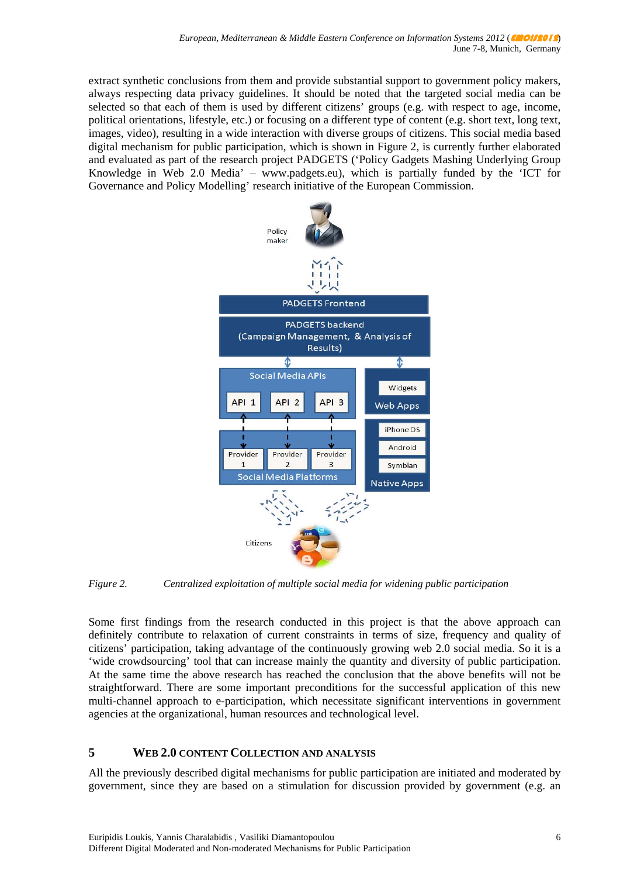extract synthetic conclusions from them and provide substantial support to government policy makers, always respecting data privacy guidelines. It should be noted that the targeted social media can be selected so that each of them is used by different citizens' groups (e.g. with respect to age, income, political orientations, lifestyle, etc.) or focusing on a different type of content (e.g. short text, long text, images, video), resulting in a wide interaction with diverse groups of citizens. This social media based digital mechanism for public participation, which is shown in Figure 2, is currently further elaborated and evaluated as part of the research project PADGETS ('Policy Gadgets Mashing Underlying Group Knowledge in Web 2.0 Media' – www.padgets.eu), which is partially funded by the 'ICT for Governance and Policy Modelling' research initiative of the European Commission.



*Figure 2. Centralized exploitation of multiple social media for widening public participation* 

Some first findings from the research conducted in this project is that the above approach can definitely contribute to relaxation of current constraints in terms of size, frequency and quality of citizens' participation, taking advantage of the continuously growing web 2.0 social media. So it is a 'wide crowdsourcing' tool that can increase mainly the quantity and diversity of public participation. At the same time the above research has reached the conclusion that the above benefits will not be straightforward. There are some important preconditions for the successful application of this new multi-channel approach to e-participation, which necessitate significant interventions in government agencies at the organizational, human resources and technological level.

# **5 WEB 2.0 CONTENT COLLECTION AND ANALYSIS**

All the previously described digital mechanisms for public participation are initiated and moderated by government, since they are based on a stimulation for discussion provided by government (e.g. an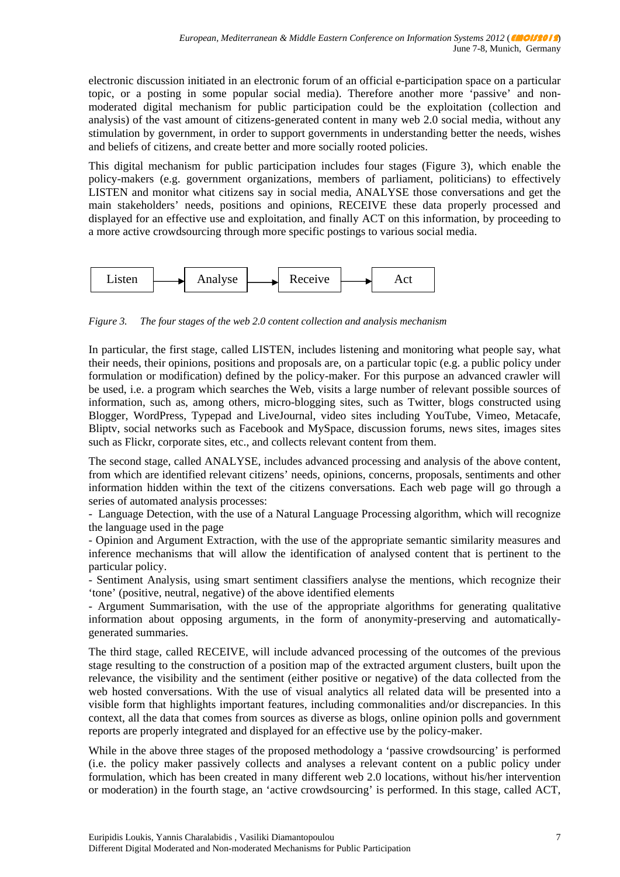electronic discussion initiated in an electronic forum of an official e-participation space on a particular topic, or a posting in some popular social media). Therefore another more 'passive' and nonmoderated digital mechanism for public participation could be the exploitation (collection and analysis) of the vast amount of citizens-generated content in many web 2.0 social media, without any stimulation by government, in order to support governments in understanding better the needs, wishes and beliefs of citizens, and create better and more socially rooted policies.

This digital mechanism for public participation includes four stages (Figure 3), which enable the policy-makers (e.g. government organizations, members of parliament, politicians) to effectively LISTEN and monitor what citizens say in social media, ANALYSE those conversations and get the main stakeholders' needs, positions and opinions, RECEIVE these data properly processed and displayed for an effective use and exploitation, and finally ACT on this information, by proceeding to a more active crowdsourcing through more specific postings to various social media.



*Figure 3. The four stages of the web 2.0 content collection and analysis mechanism* 

In particular, the first stage, called LISTEN, includes listening and monitoring what people say, what their needs, their opinions, positions and proposals are, on a particular topic (e.g. a public policy under formulation or modification) defined by the policy-maker. For this purpose an advanced crawler will be used, i.e. a program which searches the Web, visits a large number of relevant possible sources of information, such as, among others, micro-blogging sites, such as Twitter, blogs constructed using Blogger, WordPress, Typepad and LiveJournal, video sites including YouTube, Vimeo, Metacafe, Bliptv, social networks such as Facebook and MySpace, discussion forums, news sites, images sites such as Flickr, corporate sites, etc., and collects relevant content from them.

The second stage, called ANALYSE, includes advanced processing and analysis of the above content, from which are identified relevant citizens' needs, opinions, concerns, proposals, sentiments and other information hidden within the text of the citizens conversations. Each web page will go through a series of automated analysis processes:

- Language Detection, with the use of a Natural Language Processing algorithm, which will recognize the language used in the page

- Opinion and Argument Extraction, with the use of the appropriate semantic similarity measures and inference mechanisms that will allow the identification of analysed content that is pertinent to the particular policy.

- Sentiment Analysis, using smart sentiment classifiers analyse the mentions, which recognize their 'tone' (positive, neutral, negative) of the above identified elements

- Argument Summarisation, with the use of the appropriate algorithms for generating qualitative information about opposing arguments, in the form of anonymity-preserving and automaticallygenerated summaries.

The third stage, called RECEIVE, will include advanced processing of the outcomes of the previous stage resulting to the construction of a position map of the extracted argument clusters, built upon the relevance, the visibility and the sentiment (either positive or negative) of the data collected from the web hosted conversations. With the use of visual analytics all related data will be presented into a visible form that highlights important features, including commonalities and/or discrepancies. In this context, all the data that comes from sources as diverse as blogs, online opinion polls and government reports are properly integrated and displayed for an effective use by the policy-maker.

While in the above three stages of the proposed methodology a 'passive crowdsourcing' is performed (i.e. the policy maker passively collects and analyses a relevant content on a public policy under formulation, which has been created in many different web 2.0 locations, without his/her intervention or moderation) in the fourth stage, an 'active crowdsourcing' is performed. In this stage, called ACT,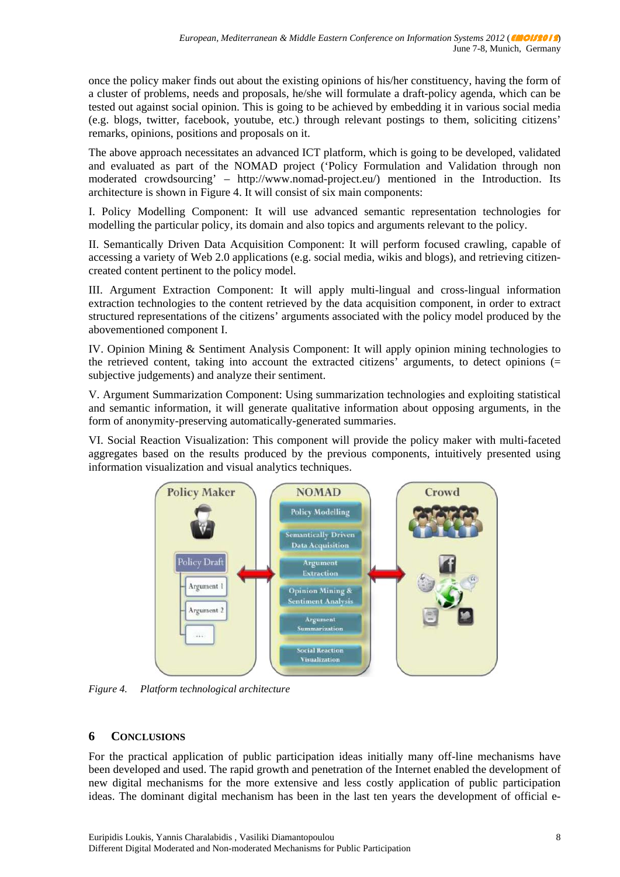once the policy maker finds out about the existing opinions of his/her constituency, having the form of a cluster of problems, needs and proposals, he/she will formulate a draft-policy agenda, which can be tested out against social opinion. This is going to be achieved by embedding it in various social media (e.g. blogs, twitter, facebook, youtube, etc.) through relevant postings to them, soliciting citizens' remarks, opinions, positions and proposals on it.

The above approach necessitates an advanced ICT platform, which is going to be developed, validated and evaluated as part of the NOMAD project ('Policy Formulation and Validation through non moderated crowdsourcing' – http://www.nomad-project.eu/) mentioned in the Introduction. Its architecture is shown in Figure 4. It will consist of six main components:

I. Policy Modelling Component: It will use advanced semantic representation technologies for modelling the particular policy, its domain and also topics and arguments relevant to the policy.

II. Semantically Driven Data Acquisition Component: It will perform focused crawling, capable of accessing a variety of Web 2.0 applications (e.g. social media, wikis and blogs), and retrieving citizencreated content pertinent to the policy model.

III. Argument Extraction Component: It will apply multi-lingual and cross-lingual information extraction technologies to the content retrieved by the data acquisition component, in order to extract structured representations of the citizens' arguments associated with the policy model produced by the abovementioned component I.

IV. Opinion Mining & Sentiment Analysis Component: It will apply opinion mining technologies to the retrieved content, taking into account the extracted citizens' arguments, to detect opinions (= subjective judgements) and analyze their sentiment.

V. Argument Summarization Component: Using summarization technologies and exploiting statistical and semantic information, it will generate qualitative information about opposing arguments, in the form of anonymity-preserving automatically-generated summaries.

VI. Social Reaction Visualization: This component will provide the policy maker with multi-faceted aggregates based on the results produced by the previous components, intuitively presented using information visualization and visual analytics techniques.



*Figure 4. Platform technological architecture* 

# **6 CONCLUSIONS**

For the practical application of public participation ideas initially many off-line mechanisms have been developed and used. The rapid growth and penetration of the Internet enabled the development of new digital mechanisms for the more extensive and less costly application of public participation ideas. The dominant digital mechanism has been in the last ten years the development of official e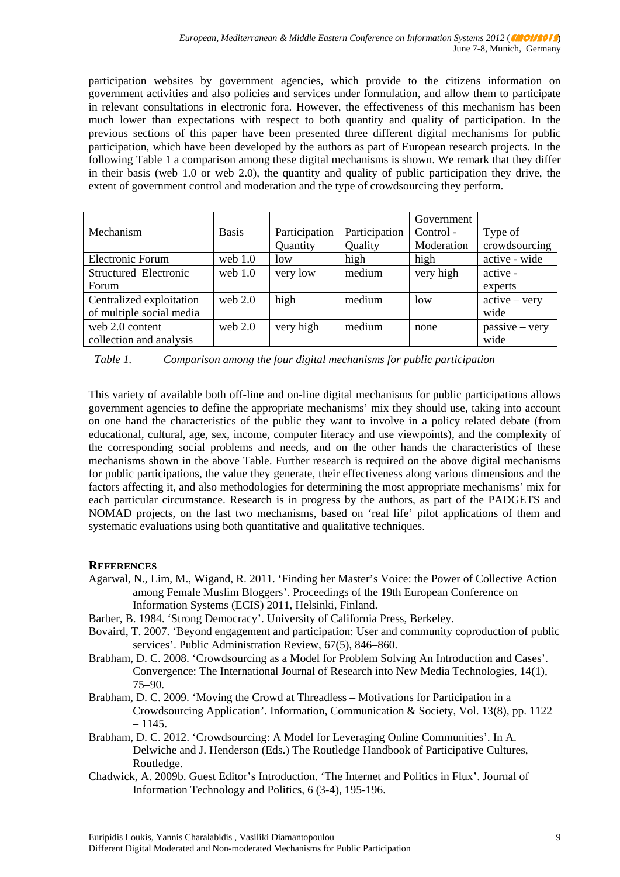participation websites by government agencies, which provide to the citizens information on government activities and also policies and services under formulation, and allow them to participate in relevant consultations in electronic fora. However, the effectiveness of this mechanism has been much lower than expectations with respect to both quantity and quality of participation. In the previous sections of this paper have been presented three different digital mechanisms for public participation, which have been developed by the authors as part of European research projects. In the following Table 1 a comparison among these digital mechanisms is shown. We remark that they differ in their basis (web 1.0 or web 2.0), the quantity and quality of public participation they drive, the extent of government control and moderation and the type of crowdsourcing they perform.

|                          |              |               |               | Government |                  |
|--------------------------|--------------|---------------|---------------|------------|------------------|
| Mechanism                | <b>Basis</b> | Participation | Participation | Control -  | Type of          |
|                          |              | Quantity      | Quality       | Moderation | crowdsourcing    |
| <b>Electronic Forum</b>  | web $1.0$    | low           | high          | high       | active - wide    |
| Structured Electronic    | web $1.0$    | very low      | medium        | very high  | active -         |
| Forum                    |              |               |               |            | experts          |
| Centralized exploitation | web $2.0$    | high          | medium        | low        | $active - very$  |
| of multiple social media |              |               |               |            | wide             |
| web 2.0 content          | web $2.0$    | very high     | medium        | none       | $passive - very$ |
| collection and analysis  |              |               |               |            | wide             |

*Table 1. Comparison among the four digital mechanisms for public participation* 

This variety of available both off-line and on-line digital mechanisms for public participations allows government agencies to define the appropriate mechanisms' mix they should use, taking into account on one hand the characteristics of the public they want to involve in a policy related debate (from educational, cultural, age, sex, income, computer literacy and use viewpoints), and the complexity of the corresponding social problems and needs, and on the other hands the characteristics of these mechanisms shown in the above Table. Further research is required on the above digital mechanisms for public participations, the value they generate, their effectiveness along various dimensions and the factors affecting it, and also methodologies for determining the most appropriate mechanisms' mix for each particular circumstance. Research is in progress by the authors, as part of the PADGETS and NOMAD projects, on the last two mechanisms, based on 'real life' pilot applications of them and systematic evaluations using both quantitative and qualitative techniques.

#### **REFERENCES**

- Agarwal, N., Lim, M., Wigand, R. 2011. 'Finding her Master's Voice: the Power of Collective Action among Female Muslim Bloggers'. Proceedings of the 19th European Conference on Information Systems (ECIS) 2011, Helsinki, Finland.
- Barber, B. 1984. 'Strong Democracy'. University of California Press, Berkeley.
- Bovaird, T. 2007. 'Beyond engagement and participation: User and community coproduction of public services'. Public Administration Review, 67(5), 846–860.
- Brabham, D. C. 2008. 'Crowdsourcing as a Model for Problem Solving An Introduction and Cases'. Convergence: The International Journal of Research into New Media Technologies, 14(1), 75–90.
- Brabham, D. C. 2009. 'Moving the Crowd at Threadless Motivations for Participation in a Crowdsourcing Application'. Information, Communication & Society, Vol. 13(8), pp. 1122  $-1145.$
- Brabham, D. C. 2012. 'Crowdsourcing: A Model for Leveraging Online Communities'. In A. Delwiche and J. Henderson (Eds.) The Routledge Handbook of Participative Cultures, Routledge.
- Chadwick, A. 2009b. Guest Editor's Introduction. 'The Internet and Politics in Flux'. Journal of Information Technology and Politics, 6 (3-4), 195-196.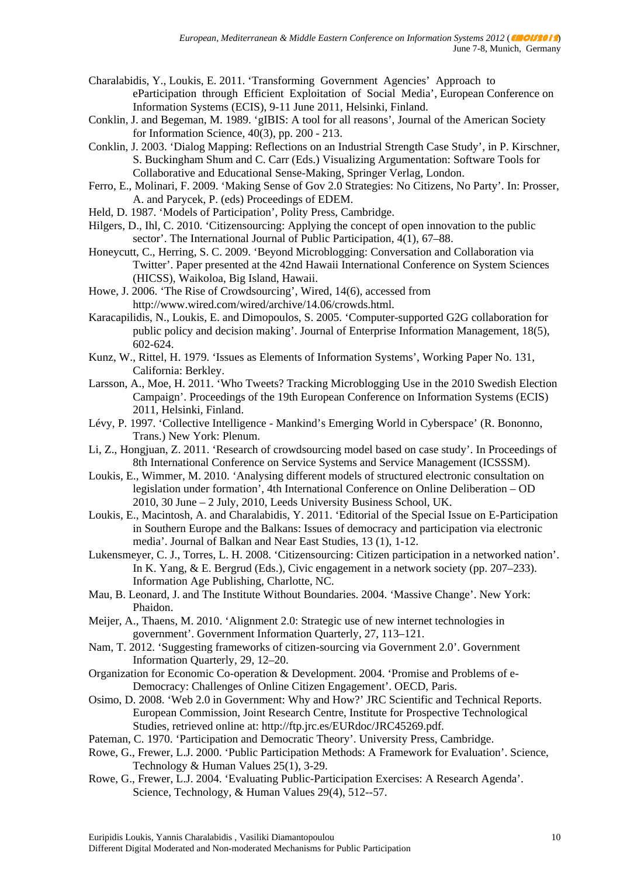- Charalabidis, Y., Loukis, E. 2011. 'Transforming Government Agencies' Approach to eParticipation through Efficient Exploitation of Social Media', European Conference on Information Systems (ECIS), 9-11 June 2011, Helsinki, Finland.
- Conklin, J. and Begeman, M. 1989. 'gIBIS: A tool for all reasons', Journal of the American Society for Information Science, 40(3), pp. 200 - 213.
- Conklin, J. 2003. 'Dialog Mapping: Reflections on an Industrial Strength Case Study', in P. Kirschner, S. Buckingham Shum and C. Carr (Eds.) Visualizing Argumentation: Software Tools for Collaborative and Educational Sense-Making, Springer Verlag, London.
- Ferro, E., Molinari, F. 2009. 'Making Sense of Gov 2.0 Strategies: No Citizens, No Party'. In: Prosser, A. and Parycek, P. (eds) Proceedings of EDEM.
- Held, D. 1987. 'Models of Participation', Polity Press, Cambridge.
- Hilgers, D., Ihl, C. 2010. 'Citizensourcing: Applying the concept of open innovation to the public sector'. The International Journal of Public Participation, 4(1), 67–88.
- Honeycutt, C., Herring, S. C. 2009. 'Beyond Microblogging: Conversation and Collaboration via Twitter'. Paper presented at the 42nd Hawaii International Conference on System Sciences (HICSS), Waikoloa, Big Island, Hawaii.
- Howe, J. 2006. 'The Rise of Crowdsourcing', Wired, 14(6), accessed from http://www.wired.com/wired/archive/14.06/crowds.html.
- Karacapilidis, N., Loukis, E. and Dimopoulos, S. 2005. 'Computer-supported G2G collaboration for public policy and decision making'. Journal of Enterprise Information Management, 18(5), 602-624.
- Kunz, W., Rittel, H. 1979. 'Issues as Elements of Information Systems', Working Paper No. 131, California: Berkley.
- Larsson, A., Moe, H. 2011. 'Who Tweets? Tracking Microblogging Use in the 2010 Swedish Election Campaign'. Proceedings of the 19th European Conference on Information Systems (ECIS) 2011, Helsinki, Finland.
- Lévy, P. 1997. 'Collective Intelligence Mankind's Emerging World in Cyberspace' (R. Bononno, Trans.) New York: Plenum.
- Li, Z., Hongjuan, Z. 2011. 'Research of crowdsourcing model based on case study'. In Proceedings of 8th International Conference on Service Systems and Service Management (ICSSSM).
- Loukis, E., Wimmer, M. 2010. 'Analysing different models of structured electronic consultation on legislation under formation', 4th International Conference on Online Deliberation – OD 2010, 30 June – 2 July, 2010, Leeds University Business School, UK.
- Loukis, E., Macintosh, A. and Charalabidis, Y. 2011. 'Editorial of the Special Issue on E-Participation in Southern Europe and the Balkans: Issues of democracy and participation via electronic media'. Journal of Balkan and Near East Studies, 13 (1), 1-12.
- Lukensmeyer, C. J., Torres, L. H. 2008. 'Citizensourcing: Citizen participation in a networked nation'. In K. Yang, & E. Bergrud (Eds.), Civic engagement in a network society (pp. 207–233). Information Age Publishing, Charlotte, NC.
- Mau, B. Leonard, J. and The Institute Without Boundaries. 2004. 'Massive Change'. New York: Phaidon.
- Meijer, A., Thaens, M. 2010. 'Alignment 2.0: Strategic use of new internet technologies in government'. Government Information Quarterly, 27, 113–121.
- Nam, T. 2012. 'Suggesting frameworks of citizen-sourcing via Government 2.0'. Government Information Quarterly, 29, 12–20.
- Organization for Economic Co-operation & Development. 2004. 'Promise and Problems of e-Democracy: Challenges of Online Citizen Engagement'. OECD, Paris.
- Osimo, D. 2008. 'Web 2.0 in Government: Why and How?' JRC Scientific and Technical Reports. European Commission, Joint Research Centre, Institute for Prospective Technological Studies, retrieved online at: [http://ftp.jrc.es/EURdoc/JRC45269.pdf.](http://ftp.jrc.es/EURdoc/JRC45269.pdf)
- Pateman, C. 1970. 'Participation and Democratic Theory'. University Press, Cambridge.
- Rowe, G., Frewer, L.J. 2000. 'Public Participation Methods: A Framework for Evaluation'. Science, Technology & Human Values 25(1), 3-29.
- Rowe, G., Frewer, L.J. 2004. 'Evaluating Public-Participation Exercises: A Research Agenda'. Science, Technology, & Human Values 29(4), 512--57.